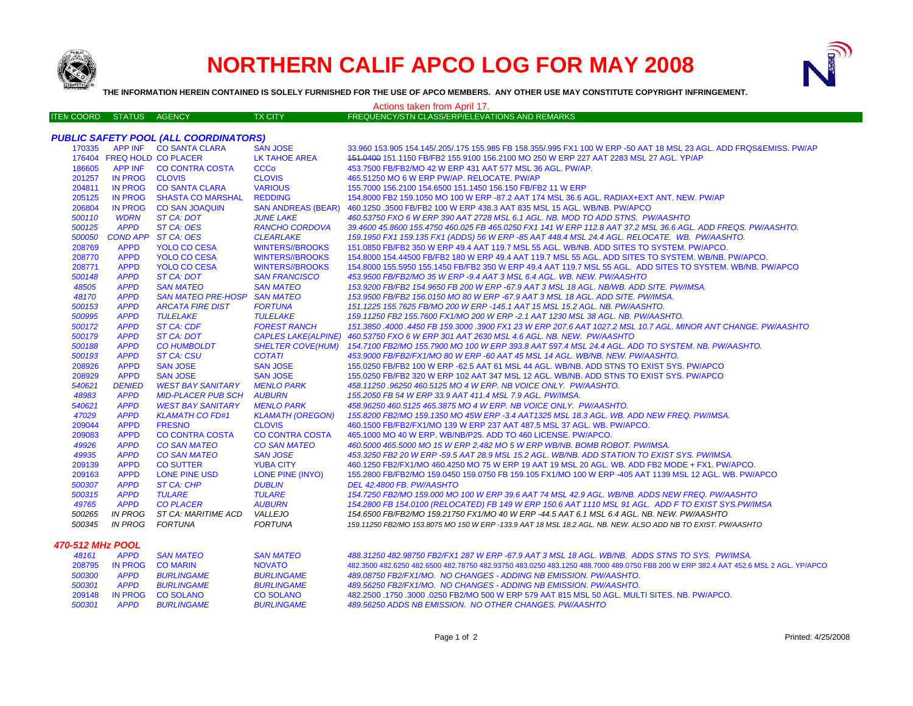

## **NORTHERN CALIF APCO LOG FOR MAY 2008**



**THE INFORMATION HEREIN CONTAINED IS SOLELY FURNISHED FOR THE USE OF APCO MEMBERS. ANY OTHER USE MAY CONSTITUTE COPYRIGHT INFRINGEMENT.**

| Actions taken from April 17.                 |                         |                               |                         |                                                                                                                                     |  |  |  |  |
|----------------------------------------------|-------------------------|-------------------------------|-------------------------|-------------------------------------------------------------------------------------------------------------------------------------|--|--|--|--|
| <b>ITEN COORD STATUS AGENCY</b>              |                         |                               | <b>TX CITY</b>          | FREQUENCY/STN CLASS/ERP/ELEVATIONS AND REMARKS                                                                                      |  |  |  |  |
| <b>PUBLIC SAFETY POOL (ALL COORDINATORS)</b> |                         |                               |                         |                                                                                                                                     |  |  |  |  |
|                                              |                         | 170335 APP INF CO SANTA CLARA | <b>SAN JOSE</b>         | 33.960 153.905 154.145/.205/.175 155.985 FB 158.355/.995 FX1 100 W ERP -50 AAT 18 MSL 23 AGL. ADD FRQS&EMISS, PW/AP                 |  |  |  |  |
|                                              |                         | 176404 FREQ HOLD CO PLACER    | <b>LK TAHOE AREA</b>    | 151.0400 151.1150 FB/FB2 155.9100 156.2100 MO 250 W ERP 227 AAT 2283 MSL 27 AGL. YP/AP                                              |  |  |  |  |
| 186605                                       |                         | APP INF CO CONTRA COSTA       | <b>CCCo</b>             | 453.7500 FB/FB2/MO 42 W ERP 431 AAT 577 MSL 36 AGL. PW/AP.                                                                          |  |  |  |  |
| 201257                                       | IN PROG CLOVIS          |                               | <b>CLOVIS</b>           | 465.51250 MO 6 W ERP PW/AP, RELOCATE, PW/AP                                                                                         |  |  |  |  |
| 204811                                       |                         | IN PROG CO SANTA CLARA        | <b>VARIOUS</b>          | 155.7000 156.2100 154.6500 151.1450 156.150 FB/FB2 11 W ERP                                                                         |  |  |  |  |
| 205125                                       |                         | IN PROG SHASTA CO MARSHAL     | <b>REDDING</b>          | 154.8000 FB2 159.1050 MO 100 W ERP -87.2 AAT 174 MSL 36.6 AGL. RADIAX+EXT ANT. NEW. PW/AP                                           |  |  |  |  |
| 206804                                       |                         | IN PROG CO SAN JOAQUIN        |                         | SAN ANDREAS (BEAR) 460.1250 .3500 FB/FB2 100 W ERP 438.3 AAT 835 MSL 15 AGL. WB/NB. PW/APCO                                         |  |  |  |  |
| 500110                                       | <b>WDRN</b>             | ST CA: DOT                    | <b>JUNE LAKE</b>        | 460.53750 FXO 6 W ERP 390 AAT 2728 MSL 6.1 AGL. NB. MOD TO ADD STNS. PW/AASHTO                                                      |  |  |  |  |
| 500125                                       | <b>APPD</b>             | ST CA: OES                    | <b>RANCHO CORDOVA</b>   | 39.4600 45.8600 155.4750 460.025 FB 465.0250 FX1 141 W ERP 112.8 AAT 37.2 MSL 36.6 AGL. ADD FREQS. PW/AASHTO.                       |  |  |  |  |
| 500050                                       |                         | COND APP ST CA: OES           | <b>CLEARLAKE</b>        | 159.1950 FX1 159.135 FX1 (ADDS) 56 W ERP -85 AAT 448.4 MSL 24.4 AGL. RELOCATE. WB. PW/AASHTO.                                       |  |  |  |  |
| 208769                                       | <b>APPD</b>             | <b>YOLO CO CESA</b>           | <b>WINTERS//BROOKS</b>  | 151.0850 FB/FB2 350 W ERP 49.4 AAT 119.7 MSL 55 AGL. WB/NB. ADD SITES TO SYSTEM. PW/APCO.                                           |  |  |  |  |
| 208770                                       | <b>APPD</b>             | <b>YOLO CO CESA</b>           | <b>WINTERS//BROOKS</b>  | 154.8000 154.44500 FB/FB2 180 W ERP 49.4 AAT 119.7 MSL 55 AGL. ADD SITES TO SYSTEM. WB/NB. PW/APCO.                                 |  |  |  |  |
| 208771                                       | <b>APPD</b>             | <b>YOLO CO CESA</b>           | <b>WINTERS//BROOKS</b>  | 154.8000 155.5950 155.1450 FB/FB2 350 W ERP 49.4 AAT 119.7 MSL 55 AGL. ADD SITES TO SYSTEM. WB/NB. PW/APCO                          |  |  |  |  |
| 500148                                       | <b>APPD</b>             | <b>ST CA: DOT</b>             | <b>SAN FRANCISCO</b>    | 453.9500 FB/FB2/MO 35 W ERP -9.4 AAT 3 MSL 6.4 AGL. WB. NEW. PW/AASHTO                                                              |  |  |  |  |
| 48505                                        | <b>APPD</b>             | <b>SAN MATEO</b>              | <b>SAN MATEO</b>        | 153.9200 FB/FB2 154.9650 FB 200 W ERP -67.9 AAT 3 MSL 18 AGL. NB/WB. ADD SITE. PW/IMSA.                                             |  |  |  |  |
| 48170                                        | <b>APPD</b>             | <b>SAN MATEO PRE-HOSP</b>     | <b>SAN MATEO</b>        | 153.9500 FB/FB2 156.0150 MO 80 W ERP -67.9 AAT 3 MSL 18 AGL. ADD SITE. PW/IMSA.                                                     |  |  |  |  |
| 500153                                       | <b>APPD</b>             | <b>ARCATA FIRE DIST</b>       | <b>FORTUNA</b>          | 151.1225 155.7625 FB/MO 200 W ERP -145.1 AAT 15 MSL 15.2 AGL. NB. PW/AASHTO.                                                        |  |  |  |  |
| 500995                                       | <b>APPD</b>             | <b>TULELAKE</b>               | <b>TULELAKE</b>         | 159.11250 FB2 155.7600 FX1/MO 200 W ERP -2.1 AAT 1230 MSL 38 AGL. NB. PW/AASHTO.                                                    |  |  |  |  |
| 500172                                       | <b>APPD</b>             | <b>ST CA: CDF</b>             | <b>FOREST RANCH</b>     | 151.3850 .4000 .4450 FB 159.3000 .3900 FX1 23 W ERP 207.6 AAT 1027.2 MSL 10.7 AGL. MINOR ANT CHANGE. PW/AASHTO                      |  |  |  |  |
| 500179                                       | <b>APPD</b>             | <b>ST CA: DOT</b>             |                         | CAPLES LAKE(ALPINE) 460.53750 FXO 6 W ERP 301 AAT 2630 MSL 4.6 AGL. NB. NEW. PW/AASHTO                                              |  |  |  |  |
| 500188                                       | <b>APPD</b>             | <b>CO HUMBOLDT</b>            |                         | SHELTER COVE(HUM) 154.7100 FB2/MO 155.7900 MO 100 W ERP 393.8 AAT 597.4 MSL 24.4 AGL. ADD TO SYSTEM. NB. PW/AASHTO.                 |  |  |  |  |
| 500193                                       | <b>APPD</b>             | <b>ST CA: CSU</b>             | <b>COTATI</b>           | 453.9000 FB/FB2/FX1/MO 80 W ERP -60 AAT 45 MSL 14 AGL. WB/NB. NEW. PW/AASHTO.                                                       |  |  |  |  |
| 208926                                       | <b>APPD</b>             | <b>SAN JOSE</b>               | <b>SAN JOSE</b>         | 155.0250 FB/FB2 100 W ERP -62.5 AAT 61 MSL 44 AGL. WB/NB. ADD STNS TO EXIST SYS. PW/APCO                                            |  |  |  |  |
| 208929                                       | <b>APPD</b>             | <b>SAN JOSE</b>               | <b>SAN JOSE</b>         | 155.0250 FB/FB2 320 W ERP 102 AAT 347 MSL 12 AGL. WB/NB. ADD STNS TO EXIST SYS. PW/APCO                                             |  |  |  |  |
| 540621                                       | <b>DENIED</b>           | WEST BAY SANITARY             | <b>MENLO PARK</b>       | 458.11250.96250 460.5125 MO 4 W ERP. NB VOICE ONLY. PW/AASHTO.                                                                      |  |  |  |  |
| 48983                                        | <b>APPD</b>             | <b>MID-PLACER PUB SCH</b>     | <b>AUBURN</b>           | 155.2050 FB 54 W ERP 33.9 AAT 411.4 MSL 7.9 AGL. PW/IMSA.                                                                           |  |  |  |  |
| 540621                                       | <b>APPD</b>             | <b>WEST BAY SANITARY</b>      | <b>MENLO PARK</b>       | 458.96250 460.5125 465.3875 MO 4 W ERP. NB VOICE ONLY. PW/AASHTO.                                                                   |  |  |  |  |
| 47029                                        | <b>APPD</b>             | <b>KLAMATH CO FD#1</b>        | <b>KLAMATH (OREGON)</b> | 155.8200 FB2/MO 159.1350 MO 45W ERP -3.4 AAT1325 MSL 18.3 AGL. WB. ADD NEW FREQ. PW/IMSA.                                           |  |  |  |  |
| 209044                                       | <b>APPD</b>             | <b>FRESNO</b>                 | <b>CLOVIS</b>           | 460.1500 FB/FB2/FX1/MO 139 W ERP 237 AAT 487.5 MSL 37 AGL, WB, PW/APCO,                                                             |  |  |  |  |
| 209083                                       | <b>APPD</b>             | <b>CO CONTRA COSTA</b>        | <b>CO CONTRA COSTA</b>  | 465,1000 MO 40 W ERP, WB/NB/P25, ADD TO 460 LICENSE, PW/APCO.                                                                       |  |  |  |  |
| 49926                                        | <b>APPD</b>             | <b>CO SAN MATEO</b>           | <b>CO SAN MATEO</b>     | 460.5000 465.5000 MO 15 W ERP 2,482 MO 5 W ERP WB/NB. BOMB ROBOT. PW/IMSA.                                                          |  |  |  |  |
| 49935                                        | <b>APPD</b>             | <b>CO SAN MATEO</b>           | <b>SAN JOSE</b>         | 453.3250 FB2 20 W ERP -59.5 AAT 28.9 MSL 15.2 AGL. WB/NB. ADD STATION TO EXIST SYS. PW/IMSA.                                        |  |  |  |  |
| 209139                                       | <b>APPD</b>             | <b>CO SUTTER</b>              | <b>YUBA CITY</b>        | 460.1250 FB2/FX1/MO 460.4250 MO 75 W ERP 19 AAT 19 MSL 20 AGL. WB. ADD FB2 MODE + FX1. PW/APCO.                                     |  |  |  |  |
| 209163                                       | <b>APPD</b>             | <b>LONE PINE USD</b>          | LONE PINE (INYO)        | 155.2800 FB/FB2/MO 159.0450 159.0750 FB 159.105 FX1/MO 100 W ERP -405 AAT 1139 MSL 12 AGL. WB. PW/APCO                              |  |  |  |  |
| 500307                                       | <b>APPD</b>             | <b>ST CA: CHP</b>             | <b>DUBLIN</b>           | DEL 42.4800 FB. PW/AASHTO                                                                                                           |  |  |  |  |
| 500315                                       | <b>APPD</b>             | <b>TULARE</b>                 | <b>TULARE</b>           | 154.7250 FB2/MO 159.000 MO 100 W ERP 39.6 AAT 74 MSL 42.9 AGL. WB/NB. ADDS NEW FREQ. PW/AASHTO                                      |  |  |  |  |
| 49765                                        | <b>APPD</b>             | <b>CO PLACER</b>              | <b>AUBURN</b>           | 154,2800 FB 154,0100 (RELOCATED) FB 149 W ERP 150.6 AAT 1110 MSL 91 AGL. ADD F TO EXIST SYS.PW/IMSA                                 |  |  |  |  |
| 500265                                       |                         | IN PROG ST CA: MARITIME ACD   | VALLEJO                 | 154.6500 FB/FB2/MO 159.21750 FX1/MO 40 W ERP -44.5 AAT 6.1 MSL 6.4 AGL. NB. NEW. PW/AASHTO                                          |  |  |  |  |
| 500345                                       | IN PROG FORTUNA         |                               | <b>FORTUNA</b>          | 159.11250 FB2/MO 153.8075 MO 150 W ERP -133.9 AAT 18 MSL 18.2 AGL. NB. NEW. ALSO ADD NB TO EXIST. PW/AASHTO                         |  |  |  |  |
| 470-512 MHz POOL                             |                         |                               |                         |                                                                                                                                     |  |  |  |  |
| 48161                                        | <b>APPD</b>             | <b>SAN MATEO</b>              | <b>SAN MATEO</b>        | 488.31250 482.98750 FB2/FX1 287 W ERP -67.9 AAT 3 MSL 18 AGL. WB/NB. ADDS STNS TO SYS. PW/IMSA.                                     |  |  |  |  |
|                                              | 208795 IN PROG CO MARIN |                               | <b>NOVATO</b>           | 482.3500 482.6250 482.6500 482.78750 482.93750 483.0250 483.1250 488.7000 489.0750 FB8 200 W ERP 382.4 AAT 452.6 MSL 2 AGL. YP/APCO |  |  |  |  |